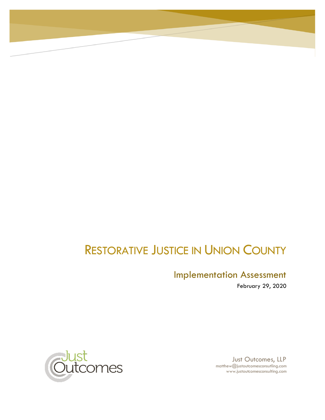# RESTORATIVE JUSTICE IN UNION COUNTY

## Implementation Assessment

February 29, 2020



Just Outcomes, LLP matthew@justoutcomesconsutling.com www.justoutcomesconsulting.com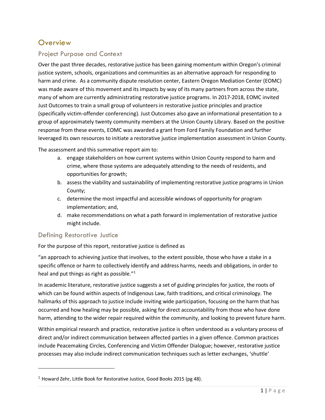## **Overview**

## Project Purpose and Context

Over the past three decades, restorative justice has been gaining momentum within Oregon's criminal justice system, schools, organizations and communities as an alternative approach for responding to harm and crime. As a community dispute resolution center, Eastern Oregon Mediation Center (EOMC) was made aware of this movement and its impacts by way of its many partners from across the state, many of whom are currently administrating restorative justice programs. In 2017-2018, EOMC invited Just Outcomes to train a small group of volunteers in restorative justice principles and practice (specifically victim-offender conferencing). Just Outcomes also gave an informational presentation to a group of approximately twenty community members at the Union County Library. Based on the positive response from these events, EOMC was awarded a grant from Ford Family Foundation and further leveraged its own resources to initiate a restorative justice implementation assessment in Union County.

The assessment and this summative report aim to:

- a. engage stakeholders on how current systems within Union County respond to harm and crime, where those systems are adequately attending to the needs of residents, and opportunities for growth;
- b. assess the viability and sustainability of implementing restorative justice programs in Union County;
- c. determine the most impactful and accessible windows of opportunity for program implementation; and,
- d. make recommendations on what a path forward in implementation of restorative justice might include.

#### Defining Restorative Justice

For the purpose of this report, restorative justice is defined as

"an approach to achieving justice that involves, to the extent possible, those who have a stake in a specific offence or harm to collectively identify and address harms, needs and obligations, in order to heal and put things as right as possible."<sup>1</sup>

In academic literature, restorative justice suggests a set of guiding principles for justice, the roots of which can be found within aspects of Indigenous Law, faith traditions, and critical criminology. The hallmarks of this approach to justice include inviting wide participation, focusing on the harm that has occurred and how healing may be possible, asking for direct accountability from those who have done harm, attending to the wider repair required within the community, and looking to prevent future harm.

Within empirical research and practice, restorative justice is often understood as a voluntary process of direct and/or indirect communication between affected parties in a given offence. Common practices include Peacemaking Circles, Conferencing and Victim Offender Dialogue; however, restorative justice processes may also include indirect communication techniques such as letter exchanges, 'shuttle'

<sup>&</sup>lt;sup>1</sup> Howard Zehr, Little Book for Restorative Justice, Good Books 2015 (pg 48).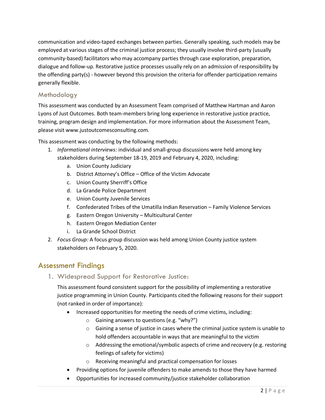communication and video-taped exchanges between parties. Generally speaking, such models may be employed at various stages of the criminal justice process; they usually involve third-party (usually community-based) facilitators who may accompany parties through case exploration, preparation, dialogue and follow-up. Restorative justice processes usually rely on an admission of responsibility by the offending party(s) - however beyond this provision the criteria for offender participation remains generally flexible.

#### Methodology

This assessment was conducted by an Assessment Team comprised of Matthew Hartman and Aaron Lyons of Just Outcomes. Both team-members bring long experience in restorative justice practice, training, program design and implementation. For more information about the Assessment Team, please visit www.justoutcomesconsulting.com.

This assessment was conducting by the following methods:

- 1. *Informational interviews:* individual and small-group discussions were held among key stakeholders during September 18-19, 2019 and February 4, 2020, including:
	- a. Union County Judiciary
	- b. District Attorney's Office Office of the Victim Advocate
	- c. Union County Sherriff's Office
	- d. La Grande Police Department
	- e. Union County Juvenile Services
	- f. Confederated Tribes of the Umatilla Indian Reservation Family Violence Services
	- g. Eastern Oregon University Multicultural Center
	- h. Eastern Oregon Mediation Center
	- i. La Grande School District
- 2. *Focus Group:* A focus group discussion was held among Union County justice system stakeholders on February 5, 2020.

## Assessment Findings

1. Widespread Support for Restorative Justice:

This assessment found consistent support for the possibility of implementing a restorative justice programming in Union County. Participants cited the following reasons for their support (not ranked in order of importance):

- Increased opportunities for meeting the needs of crime victims, including:
	- o Gaining answers to questions (e.g. "why?")
	- o Gaining a sense of justice in cases where the criminal justice system is unable to hold offenders accountable in ways that are meaningful to the victim
	- $\circ$  Addressing the emotional/symbolic aspects of crime and recovery (e.g. restoring feelings of safety for victims)
	- o Receiving meaningful and practical compensation for losses
- Providing options for juvenile offenders to make amends to those they have harmed
- Opportunities for increased community/justice stakeholder collaboration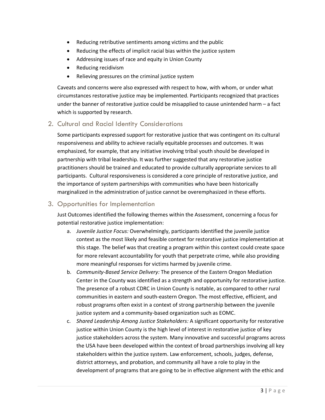- Reducing retributive sentiments among victims and the public
- Reducing the effects of implicit racial bias within the justice system
- Addressing issues of race and equity in Union County
- Reducing recidivism
- Relieving pressures on the criminal justice system

Caveats and concerns were also expressed with respect to how, with whom, or under what circumstances restorative justice may be implemented. Participants recognized that practices under the banner of restorative justice could be misapplied to cause unintended harm – a fact which is supported by research.

### 2. Cultural and Racial Identity Considerations

Some participants expressed support for restorative justice that was contingent on its cultural responsiveness and ability to achieve racially equitable processes and outcomes. It was emphasized, for example, that any initiative involving tribal youth should be developed in partnership with tribal leadership. It was further suggested that any restorative justice practitioners should be trained and educated to provide culturally appropriate services to all participants. Cultural responsiveness is considered a core principle of restorative justice, and the importance of system partnerships with communities who have been historically marginalized in the administration of justice cannot be overemphasized in these efforts.

### 3. Opportunities for Implementation

Just Outcomes identified the following themes within the Assessment, concerning a focus for potential restorative justice implementation:

- a. *Juvenile Justice Focus:* Overwhelmingly, participants identified the juvenile justice context as the most likely and feasible context for restorative justice implementation at this stage. The belief was that creating a program within this context could create space for more relevant accountability for youth that perpetrate crime, while also providing more meaningful responses for victims harmed by juvenile crime.
- b. *Community-Based Service Delivery:* The presence of the Eastern Oregon Mediation Center in the County was identified as a strength and opportunity for restorative justice. The presence of a robust CDRC in Union County is notable, as compared to other rural communities in eastern and south-eastern Oregon. The most effective, efficient, and robust programs often exist in a context of strong partnership between the juvenile justice system and a community-based organization such as EOMC.
- c. *Shared Leadership Among Justice Stakeholders:* A significant opportunity for restorative justice within Union County is the high level of interest in restorative justice of key justice stakeholders across the system. Many innovative and successful programs across the USA have been developed within the context of broad partnerships involving all key stakeholders within the justice system. Law enforcement, schools, judges, defense, district attorneys, and probation, and community all have a role to play in the development of programs that are going to be in effective alignment with the ethic and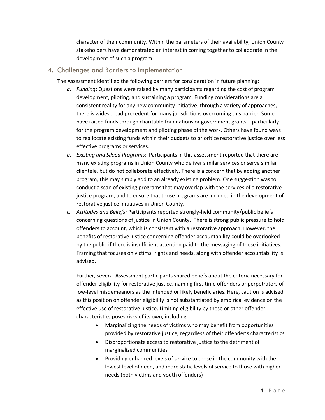character of their community. Within the parameters of their availability, Union County stakeholders have demonstrated an interest in coming together to collaborate in the development of such a program.

#### 4. Challenges and Barriers to Implementation

The Assessment identified the following barriers for consideration in future planning:

- *a. Funding*: Questions were raised by many participants regarding the cost of program development, piloting, and sustaining a program. Funding considerations are a consistent reality for any new community initiative; through a variety of approaches, there is widespread precedent for many jurisdictions overcoming this barrier. Some have raised funds through charitable foundations or government grants – particularly for the program development and piloting phase of the work. Others have found ways to reallocate existing funds within their budgets to prioritize restorative justice over less effective programs or services.
- *b. Existing and Siloed Programs:* Participants in this assessment reported that there are many existing programs in Union County who deliver similar services or serve similar clientele, but do not collaborate effectively. There is a concern that by adding another program, this may simply add to an already existing problem. One suggestion was to conduct a scan of existing programs that may overlap with the services of a restorative justice program, and to ensure that those programs are included in the development of restorative justice initiatives in Union County.
- *c. Attitudes and Beliefs:* Participants reported strongly-held community/public beliefs concerning questions of justice in Union County. There is strong public pressure to hold offenders to account, which is consistent with a restorative approach. However, the benefits of restorative justice concerning offender accountability could be overlooked by the public if there is insufficient attention paid to the messaging of these initiatives. Framing that focuses on victims' rights and needs, along with offender accountability is advised.

Further, several Assessment participants shared beliefs about the criteria necessary for offender eligibility for restorative justice, naming first-time offenders or perpetrators of low-level misdemeanors as the intended or likely beneficiaries. Here, caution is advised as this position on offender eligibility is not substantiated by empirical evidence on the effective use of restorative justice. Limiting eligibility by these or other offender characteristics poses risks of its own, including:

- Marginalizing the needs of victims who may benefit from opportunities provided by restorative justice, regardless of their offender's characteristics
- Disproportionate access to restorative justice to the detriment of marginalized communities
- Providing enhanced levels of service to those in the community with the lowest level of need, and more static levels of service to those with higher needs (both victims and youth offenders)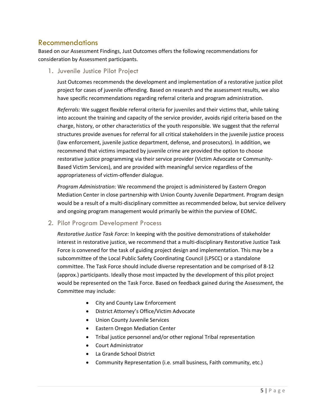## Recommendations

Based on our Assessment Findings, Just Outcomes offers the following recommendations for consideration by Assessment participants.

1. Juvenile Justice Pilot Project

Just Outcomes recommends the development and implementation of a restorative justice pilot project for cases of juvenile offending. Based on research and the assessment results, we also have specific recommendations regarding referral criteria and program administration.

*Referrals:* We suggest flexible referral criteria for juveniles and their victims that, while taking into account the training and capacity of the service provider, avoids rigid criteria based on the charge, history, or other characteristics of the youth responsible. We suggest that the referral structures provide avenues for referral for all critical stakeholders in the juvenile justice process (law enforcement, juvenile justice department, defense, and prosecutors). In addition, we recommend that victims impacted by juvenile crime are provided the option to choose restorative justice programming via their service provider (Victim Advocate or Community-Based Victim Services), and are provided with meaningful service regardless of the appropriateness of victim-offender dialogue.

*Program Administration:* We recommend the project is administered by Eastern Oregon Mediation Center in close partnership with Union County Juvenile Department. Program design would be a result of a multi-disciplinary committee as recommended below, but service delivery and ongoing program management would primarily be within the purview of EOMC.

2. Pilot Program Development Process

*Restorative Justice Task Force:* In keeping with the positive demonstrations of stakeholder interest in restorative justice, we recommend that a multi-disciplinary Restorative Justice Task Force is convened for the task of guiding project design and implementation. This may be a subcommittee of the Local Public Safety Coordinating Council (LPSCC) or a standalone committee. The Task Force should include diverse representation and be comprised of 8-12 (approx.) participants. Ideally those most impacted by the development of this pilot project would be represented on the Task Force. Based on feedback gained during the Assessment, the Committee may include:

- City and County Law Enforcement
- District Attorney's Office/Victim Advocate
- Union County Juvenile Services
- Eastern Oregon Mediation Center
- Tribal justice personnel and/or other regional Tribal representation
- Court Administrator
- La Grande School District
- Community Representation (i.e. small business, Faith community, etc.)